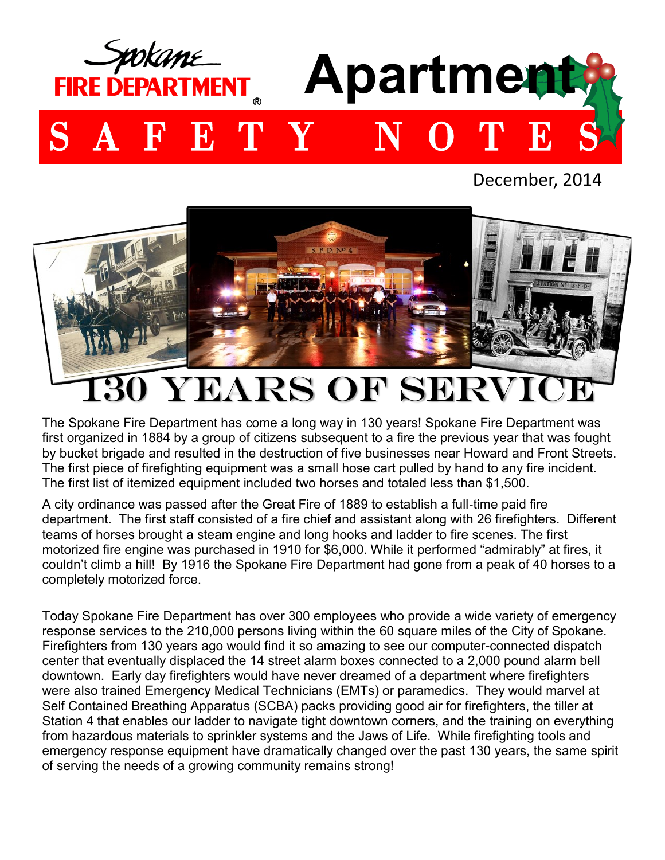

December, 2014



## 0 YEARS OF SERV

The Spokane Fire Department has come a long way in 130 years! Spokane Fire Department was first organized in 1884 by a group of citizens subsequent to a fire the previous year that was fought by bucket brigade and resulted in the destruction of five businesses near Howard and Front Streets. The first piece of firefighting equipment was a small hose cart pulled by hand to any fire incident. The first list of itemized equipment included two horses and totaled less than \$1,500.

A city ordinance was passed after the Great Fire of 1889 to establish a full-time paid fire department. The first staff consisted of a fire chief and assistant along with 26 firefighters. Different teams of horses brought a steam engine and long hooks and ladder to fire scenes. The first motorized fire engine was purchased in 1910 for \$6,000. While it performed "admirably" at fires, it couldn't climb a hill! By 1916 the Spokane Fire Department had gone from a peak of 40 horses to a completely motorized force.

Today Spokane Fire Department has over 300 employees who provide a wide variety of emergency response services to the 210,000 persons living within the 60 square miles of the City of Spokane. Firefighters from 130 years ago would find it so amazing to see our computer-connected dispatch center that eventually displaced the 14 street alarm boxes connected to a 2,000 pound alarm bell downtown. Early day firefighters would have never dreamed of a department where firefighters were also trained Emergency Medical Technicians (EMTs) or paramedics. They would marvel at Self Contained Breathing Apparatus (SCBA) packs providing good air for firefighters, the tiller at Station 4 that enables our ladder to navigate tight downtown corners, and the training on everything from hazardous materials to sprinkler systems and the Jaws of Life. While firefighting tools and emergency response equipment have dramatically changed over the past 130 years, the same spirit of serving the needs of a growing community remains strong!